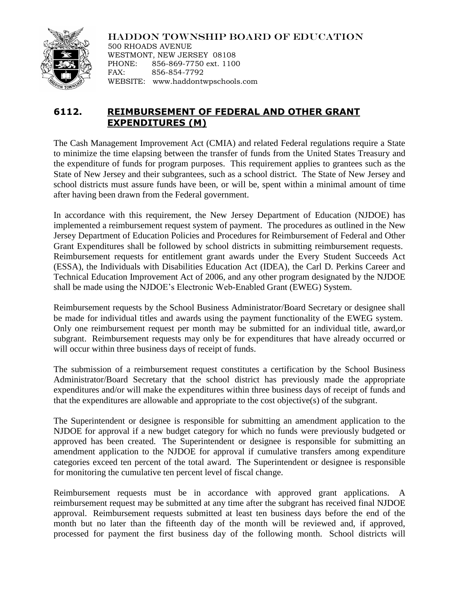

HADDON TOWNSHIP BOARD OF EDUCATION

500 RHOADS AVENUE WESTMONT, NEW JERSEY 08108 PHONE: 856-869-7750 ext. 1100 FAX: 856-854-7792 WEBSITE: www.haddontwpschools.com

## **6112. REIMBURSEMENT OF FEDERAL AND OTHER GRANT EXPENDITURES (M)**

The Cash Management Improvement Act (CMIA) and related Federal regulations require a State to minimize the time elapsing between the transfer of funds from the United States Treasury and the expenditure of funds for program purposes. This requirement applies to grantees such as the State of New Jersey and their subgrantees, such as a school district. The State of New Jersey and school districts must assure funds have been, or will be, spent within a minimal amount of time after having been drawn from the Federal government.

In accordance with this requirement, the New Jersey Department of Education (NJDOE) has implemented a reimbursement request system of payment. The procedures as outlined in the New Jersey Department of Education Policies and Procedures for Reimbursement of Federal and Other Grant Expenditures shall be followed by school districts in submitting reimbursement requests. Reimbursement requests for entitlement grant awards under the Every Student Succeeds Act (ESSA), the Individuals with Disabilities Education Act (IDEA), the Carl D. Perkins Career and Technical Education Improvement Act of 2006, and any other program designated by the NJDOE shall be made using the NJDOE's Electronic Web-Enabled Grant (EWEG) System.

Reimbursement requests by the School Business Administrator/Board Secretary or designee shall be made for individual titles and awards using the payment functionality of the EWEG system. Only one reimbursement request per month may be submitted for an individual title, award,or subgrant. Reimbursement requests may only be for expenditures that have already occurred or will occur within three business days of receipt of funds.

The submission of a reimbursement request constitutes a certification by the School Business Administrator/Board Secretary that the school district has previously made the appropriate expenditures and/or will make the expenditures within three business days of receipt of funds and that the expenditures are allowable and appropriate to the cost objective(s) of the subgrant.

The Superintendent or designee is responsible for submitting an amendment application to the NJDOE for approval if a new budget category for which no funds were previously budgeted or approved has been created. The Superintendent or designee is responsible for submitting an amendment application to the NJDOE for approval if cumulative transfers among expenditure categories exceed ten percent of the total award. The Superintendent or designee is responsible for monitoring the cumulative ten percent level of fiscal change.

Reimbursement requests must be in accordance with approved grant applications. A reimbursement request may be submitted at any time after the subgrant has received final NJDOE approval. Reimbursement requests submitted at least ten business days before the end of the month but no later than the fifteenth day of the month will be reviewed and, if approved, processed for payment the first business day of the following month. School districts will